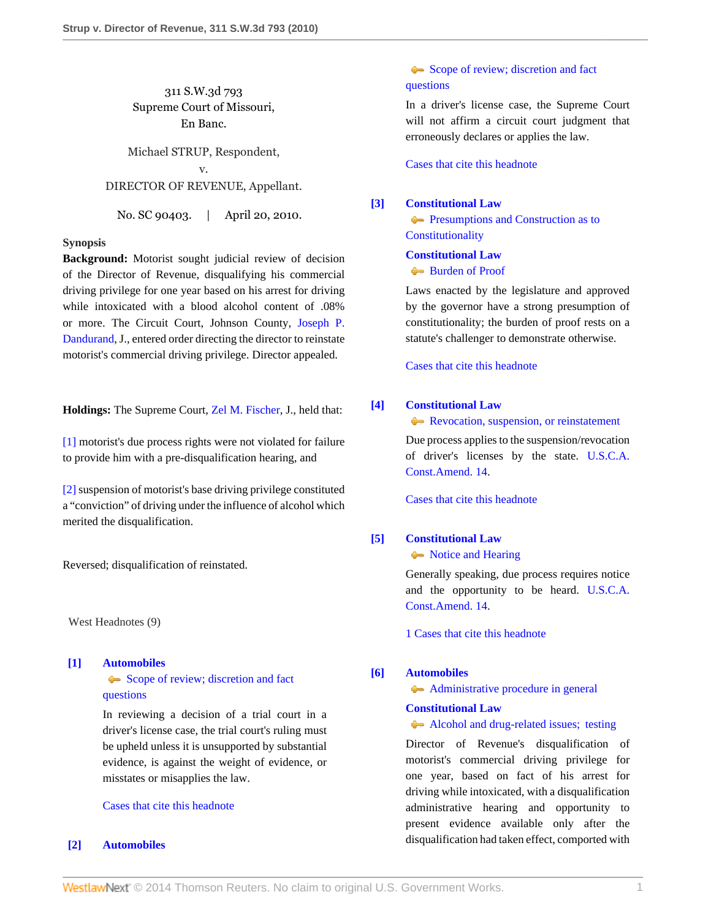311 S.W.3d 793 Supreme Court of Missouri, En Banc.

Michael STRUP, Respondent, v. DIRECTOR OF REVENUE, Appellant.

No. SC 90403. | April 20, 2010.

## **Synopsis**

**Background:** Motorist sought judicial review of decision of the Director of Revenue, disqualifying his commercial driving privilege for one year based on his arrest for driving while intoxicated with a blood alcohol content of .08% or more. The Circuit Court, Johnson County, [Joseph P.](http://www.westlaw.com/Link/Document/FullText?findType=h&pubNum=176284&cite=0105416201&originatingDoc=I0b43d99551e911dfa7ada84b8dc24cbf&refType=RQ&originationContext=document&vr=3.0&rs=cblt1.0&transitionType=DocumentItem&contextData=(sc.Search)) [Dandurand](http://www.westlaw.com/Link/Document/FullText?findType=h&pubNum=176284&cite=0105416201&originatingDoc=I0b43d99551e911dfa7ada84b8dc24cbf&refType=RQ&originationContext=document&vr=3.0&rs=cblt1.0&transitionType=DocumentItem&contextData=(sc.Search)), J., entered order directing the director to reinstate motorist's commercial driving privilege. Director appealed.

**Holdings:** The Supreme Court, [Zel M. Fischer](http://www.westlaw.com/Link/Document/FullText?findType=h&pubNum=176284&cite=0284514601&originatingDoc=I0b43d99551e911dfa7ada84b8dc24cbf&refType=RQ&originationContext=document&vr=3.0&rs=cblt1.0&transitionType=DocumentItem&contextData=(sc.Search)), J., held that:

[\[1\]](#page-0-0) motorist's due process rights were not violated for failure to provide him with a pre-disqualification hearing, and

[\[2\]](#page-1-0) suspension of motorist's base driving privilege constituted a "conviction" of driving under the influence of alcohol which merited the disqualification.

Reversed; disqualification of reinstated.

West Headnotes (9)

<span id="page-0-1"></span>**[\[1\]](#page-2-0) [Automobiles](http://www.westlaw.com/Browse/Home/KeyNumber/48A/View.html?docGuid=I0b43d99551e911dfa7ada84b8dc24cbf&originationContext=document&vr=3.0&rs=cblt1.0&transitionType=DocumentItem&contextData=(sc.Search))** [Scope of review; discretion and fact](http://www.westlaw.com/Browse/Home/KeyNumber/48Ak144.2(3)/View.html?docGuid=I0b43d99551e911dfa7ada84b8dc24cbf&originationContext=document&vr=3.0&rs=cblt1.0&transitionType=DocumentItem&contextData=(sc.Search)) [questions](http://www.westlaw.com/Browse/Home/KeyNumber/48Ak144.2(3)/View.html?docGuid=I0b43d99551e911dfa7ada84b8dc24cbf&originationContext=document&vr=3.0&rs=cblt1.0&transitionType=DocumentItem&contextData=(sc.Search))

> In reviewing a decision of a trial court in a driver's license case, the trial court's ruling must be upheld unless it is unsupported by substantial evidence, is against the weight of evidence, or misstates or misapplies the law.

[Cases that cite this headnote](http://www.westlaw.com/Link/RelatedInformation/DocHeadnoteLink?docGuid=I0b43d99551e911dfa7ada84b8dc24cbf&headnoteId=202184062500120130628082640&originationContext=document&vr=3.0&rs=cblt1.0&transitionType=CitingReferences&contextData=(sc.Search))

#### <span id="page-0-2"></span>**[\[2\]](#page-2-1) [Automobiles](http://www.westlaw.com/Browse/Home/KeyNumber/48A/View.html?docGuid=I0b43d99551e911dfa7ada84b8dc24cbf&originationContext=document&vr=3.0&rs=cblt1.0&transitionType=DocumentItem&contextData=(sc.Search))**

# [Scope of review; discretion and fact](http://www.westlaw.com/Browse/Home/KeyNumber/48Ak144.2(3)/View.html?docGuid=I0b43d99551e911dfa7ada84b8dc24cbf&originationContext=document&vr=3.0&rs=cblt1.0&transitionType=DocumentItem&contextData=(sc.Search)) [questions](http://www.westlaw.com/Browse/Home/KeyNumber/48Ak144.2(3)/View.html?docGuid=I0b43d99551e911dfa7ada84b8dc24cbf&originationContext=document&vr=3.0&rs=cblt1.0&transitionType=DocumentItem&contextData=(sc.Search))

In a driver's license case, the Supreme Court will not affirm a circuit court judgment that erroneously declares or applies the law.

[Cases that cite this headnote](http://www.westlaw.com/Link/RelatedInformation/DocHeadnoteLink?docGuid=I0b43d99551e911dfa7ada84b8dc24cbf&headnoteId=202184062500220130628082640&originationContext=document&vr=3.0&rs=cblt1.0&transitionType=CitingReferences&contextData=(sc.Search))

# <span id="page-0-3"></span>**[\[3\]](#page-2-2) [Constitutional Law](http://www.westlaw.com/Browse/Home/KeyNumber/92/View.html?docGuid=I0b43d99551e911dfa7ada84b8dc24cbf&originationContext=document&vr=3.0&rs=cblt1.0&transitionType=DocumentItem&contextData=(sc.Search))**

**[Presumptions and Construction as to](http://www.westlaw.com/Browse/Home/KeyNumber/92VI(C)3/View.html?docGuid=I0b43d99551e911dfa7ada84b8dc24cbf&originationContext=document&vr=3.0&rs=cblt1.0&transitionType=DocumentItem&contextData=(sc.Search)) [Constitutionality](http://www.westlaw.com/Browse/Home/KeyNumber/92VI(C)3/View.html?docGuid=I0b43d99551e911dfa7ada84b8dc24cbf&originationContext=document&vr=3.0&rs=cblt1.0&transitionType=DocumentItem&contextData=(sc.Search))** 

## **[Constitutional Law](http://www.westlaw.com/Browse/Home/KeyNumber/92/View.html?docGuid=I0b43d99551e911dfa7ada84b8dc24cbf&originationContext=document&vr=3.0&rs=cblt1.0&transitionType=DocumentItem&contextData=(sc.Search))**

#### [Burden of Proof](http://www.westlaw.com/Browse/Home/KeyNumber/92VI(C)4/View.html?docGuid=I0b43d99551e911dfa7ada84b8dc24cbf&originationContext=document&vr=3.0&rs=cblt1.0&transitionType=DocumentItem&contextData=(sc.Search))

Laws enacted by the legislature and approved by the governor have a strong presumption of constitutionality; the burden of proof rests on a statute's challenger to demonstrate otherwise.

[Cases that cite this headnote](http://www.westlaw.com/Link/RelatedInformation/DocHeadnoteLink?docGuid=I0b43d99551e911dfa7ada84b8dc24cbf&headnoteId=202184062500320130628082640&originationContext=document&vr=3.0&rs=cblt1.0&transitionType=CitingReferences&contextData=(sc.Search))

## <span id="page-0-4"></span>**[\[4\]](#page-2-3) [Constitutional Law](http://www.westlaw.com/Browse/Home/KeyNumber/92/View.html?docGuid=I0b43d99551e911dfa7ada84b8dc24cbf&originationContext=document&vr=3.0&rs=cblt1.0&transitionType=DocumentItem&contextData=(sc.Search))**

**[Revocation, suspension, or reinstatement](http://www.westlaw.com/Browse/Home/KeyNumber/92k4356/View.html?docGuid=I0b43d99551e911dfa7ada84b8dc24cbf&originationContext=document&vr=3.0&rs=cblt1.0&transitionType=DocumentItem&contextData=(sc.Search))** 

Due process applies to the suspension/revocation of driver's licenses by the state. [U.S.C.A.](http://www.westlaw.com/Link/Document/FullText?findType=L&pubNum=1000546&cite=USCOAMENDXIV&originatingDoc=I0b43d99551e911dfa7ada84b8dc24cbf&refType=LQ&originationContext=document&vr=3.0&rs=cblt1.0&transitionType=DocumentItem&contextData=(sc.Search)) [Const.Amend. 14.](http://www.westlaw.com/Link/Document/FullText?findType=L&pubNum=1000546&cite=USCOAMENDXIV&originatingDoc=I0b43d99551e911dfa7ada84b8dc24cbf&refType=LQ&originationContext=document&vr=3.0&rs=cblt1.0&transitionType=DocumentItem&contextData=(sc.Search))

[Cases that cite this headnote](http://www.westlaw.com/Link/RelatedInformation/DocHeadnoteLink?docGuid=I0b43d99551e911dfa7ada84b8dc24cbf&headnoteId=202184062500420130628082640&originationContext=document&vr=3.0&rs=cblt1.0&transitionType=CitingReferences&contextData=(sc.Search))

#### <span id="page-0-5"></span>**[\[5\]](#page-2-4) [Constitutional Law](http://www.westlaw.com/Browse/Home/KeyNumber/92/View.html?docGuid=I0b43d99551e911dfa7ada84b8dc24cbf&originationContext=document&vr=3.0&rs=cblt1.0&transitionType=DocumentItem&contextData=(sc.Search))**

• [Notice and Hearing](http://www.westlaw.com/Browse/Home/KeyNumber/92k3878/View.html?docGuid=I0b43d99551e911dfa7ada84b8dc24cbf&originationContext=document&vr=3.0&rs=cblt1.0&transitionType=DocumentItem&contextData=(sc.Search))

Generally speaking, due process requires notice and the opportunity to be heard. [U.S.C.A.](http://www.westlaw.com/Link/Document/FullText?findType=L&pubNum=1000546&cite=USCOAMENDXIV&originatingDoc=I0b43d99551e911dfa7ada84b8dc24cbf&refType=LQ&originationContext=document&vr=3.0&rs=cblt1.0&transitionType=DocumentItem&contextData=(sc.Search)) [Const.Amend. 14.](http://www.westlaw.com/Link/Document/FullText?findType=L&pubNum=1000546&cite=USCOAMENDXIV&originatingDoc=I0b43d99551e911dfa7ada84b8dc24cbf&refType=LQ&originationContext=document&vr=3.0&rs=cblt1.0&transitionType=DocumentItem&contextData=(sc.Search))

[1 Cases that cite this headnote](http://www.westlaw.com/Link/RelatedInformation/DocHeadnoteLink?docGuid=I0b43d99551e911dfa7ada84b8dc24cbf&headnoteId=202184062500520130628082640&originationContext=document&vr=3.0&rs=cblt1.0&transitionType=CitingReferences&contextData=(sc.Search))

## <span id="page-0-0"></span>**[\[6\]](#page-2-5) [Automobiles](http://www.westlaw.com/Browse/Home/KeyNumber/48A/View.html?docGuid=I0b43d99551e911dfa7ada84b8dc24cbf&originationContext=document&vr=3.0&rs=cblt1.0&transitionType=DocumentItem&contextData=(sc.Search))**

[Administrative procedure in general](http://www.westlaw.com/Browse/Home/KeyNumber/48Ak144.2(1)/View.html?docGuid=I0b43d99551e911dfa7ada84b8dc24cbf&originationContext=document&vr=3.0&rs=cblt1.0&transitionType=DocumentItem&contextData=(sc.Search))

## **[Constitutional Law](http://www.westlaw.com/Browse/Home/KeyNumber/92/View.html?docGuid=I0b43d99551e911dfa7ada84b8dc24cbf&originationContext=document&vr=3.0&rs=cblt1.0&transitionType=DocumentItem&contextData=(sc.Search))**

#### [Alcohol and drug-related issues; testing](http://www.westlaw.com/Browse/Home/KeyNumber/92k4358/View.html?docGuid=I0b43d99551e911dfa7ada84b8dc24cbf&originationContext=document&vr=3.0&rs=cblt1.0&transitionType=DocumentItem&contextData=(sc.Search))

Director of Revenue's disqualification of motorist's commercial driving privilege for one year, based on fact of his arrest for driving while intoxicated, with a disqualification administrative hearing and opportunity to present evidence available only after the disqualification had taken effect, comported with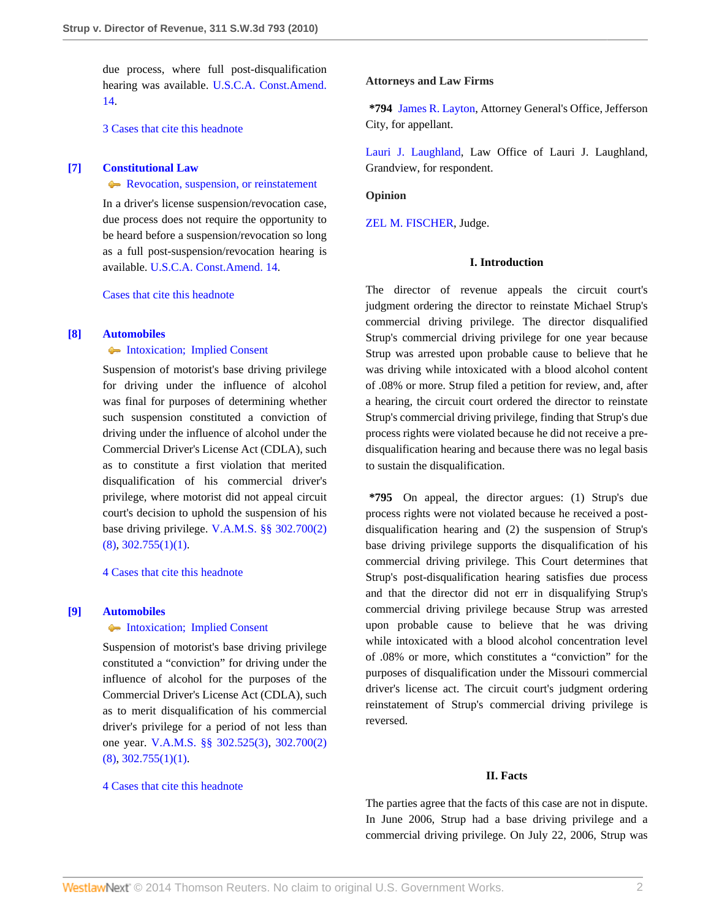due process, where full post-disqualification hearing was available. [U.S.C.A. Const.Amend.](http://www.westlaw.com/Link/Document/FullText?findType=L&pubNum=1000546&cite=USCOAMENDXIV&originatingDoc=I0b43d99551e911dfa7ada84b8dc24cbf&refType=LQ&originationContext=document&vr=3.0&rs=cblt1.0&transitionType=DocumentItem&contextData=(sc.Search)) [14](http://www.westlaw.com/Link/Document/FullText?findType=L&pubNum=1000546&cite=USCOAMENDXIV&originatingDoc=I0b43d99551e911dfa7ada84b8dc24cbf&refType=LQ&originationContext=document&vr=3.0&rs=cblt1.0&transitionType=DocumentItem&contextData=(sc.Search)).

[3 Cases that cite this headnote](http://www.westlaw.com/Link/RelatedInformation/DocHeadnoteLink?docGuid=I0b43d99551e911dfa7ada84b8dc24cbf&headnoteId=202184062500620130628082640&originationContext=document&vr=3.0&rs=cblt1.0&transitionType=CitingReferences&contextData=(sc.Search))

## <span id="page-1-1"></span>**[\[7\]](#page-3-0) [Constitutional Law](http://www.westlaw.com/Browse/Home/KeyNumber/92/View.html?docGuid=I0b43d99551e911dfa7ada84b8dc24cbf&originationContext=document&vr=3.0&rs=cblt1.0&transitionType=DocumentItem&contextData=(sc.Search))**

**[Revocation, suspension, or reinstatement](http://www.westlaw.com/Browse/Home/KeyNumber/92k4356/View.html?docGuid=I0b43d99551e911dfa7ada84b8dc24cbf&originationContext=document&vr=3.0&rs=cblt1.0&transitionType=DocumentItem&contextData=(sc.Search))** 

In a driver's license suspension/revocation case, due process does not require the opportunity to be heard before a suspension/revocation so long as a full post-suspension/revocation hearing is available. [U.S.C.A. Const.Amend. 14](http://www.westlaw.com/Link/Document/FullText?findType=L&pubNum=1000546&cite=USCOAMENDXIV&originatingDoc=I0b43d99551e911dfa7ada84b8dc24cbf&refType=LQ&originationContext=document&vr=3.0&rs=cblt1.0&transitionType=DocumentItem&contextData=(sc.Search)).

[Cases that cite this headnote](http://www.westlaw.com/Link/RelatedInformation/DocHeadnoteLink?docGuid=I0b43d99551e911dfa7ada84b8dc24cbf&headnoteId=202184062500720130628082640&originationContext=document&vr=3.0&rs=cblt1.0&transitionType=CitingReferences&contextData=(sc.Search))

## <span id="page-1-2"></span>**[\[8\]](#page-3-1) [Automobiles](http://www.westlaw.com/Browse/Home/KeyNumber/48A/View.html?docGuid=I0b43d99551e911dfa7ada84b8dc24cbf&originationContext=document&vr=3.0&rs=cblt1.0&transitionType=DocumentItem&contextData=(sc.Search))**

## [Intoxication; Implied Consent](http://www.westlaw.com/Browse/Home/KeyNumber/48Ak144.1(1.10)/View.html?docGuid=I0b43d99551e911dfa7ada84b8dc24cbf&originationContext=document&vr=3.0&rs=cblt1.0&transitionType=DocumentItem&contextData=(sc.Search))

Suspension of motorist's base driving privilege for driving under the influence of alcohol was final for purposes of determining whether such suspension constituted a conviction of driving under the influence of alcohol under the Commercial Driver's License Act (CDLA), such as to constitute a first violation that merited disqualification of his commercial driver's privilege, where motorist did not appeal circuit court's decision to uphold the suspension of his base driving privilege. [V.A.M.S. §§ 302.700\(2\)](http://www.westlaw.com/Link/Document/FullText?findType=L&pubNum=1000229&cite=MOST302.700&originatingDoc=I0b43d99551e911dfa7ada84b8dc24cbf&refType=LQ&originationContext=document&vr=3.0&rs=cblt1.0&transitionType=DocumentItem&contextData=(sc.Search))  $(8), 302.755(1)(1).$  $(8), 302.755(1)(1).$  $(8), 302.755(1)(1).$ 

[4 Cases that cite this headnote](http://www.westlaw.com/Link/RelatedInformation/DocHeadnoteLink?docGuid=I0b43d99551e911dfa7ada84b8dc24cbf&headnoteId=202184062500820130628082640&originationContext=document&vr=3.0&rs=cblt1.0&transitionType=CitingReferences&contextData=(sc.Search))

# <span id="page-1-0"></span>**[\[9\]](#page-3-2) [Automobiles](http://www.westlaw.com/Browse/Home/KeyNumber/48A/View.html?docGuid=I0b43d99551e911dfa7ada84b8dc24cbf&originationContext=document&vr=3.0&rs=cblt1.0&transitionType=DocumentItem&contextData=(sc.Search))**

## • [Intoxication; Implied Consent](http://www.westlaw.com/Browse/Home/KeyNumber/48Ak144.1(1.10)/View.html?docGuid=I0b43d99551e911dfa7ada84b8dc24cbf&originationContext=document&vr=3.0&rs=cblt1.0&transitionType=DocumentItem&contextData=(sc.Search))

Suspension of motorist's base driving privilege constituted a "conviction" for driving under the influence of alcohol for the purposes of the Commercial Driver's License Act (CDLA), such as to merit disqualification of his commercial driver's privilege for a period of not less than one year. [V.A.M.S. §§ 302.525\(3\)](http://www.westlaw.com/Link/Document/FullText?findType=L&pubNum=1000229&cite=MOST302.525&originatingDoc=I0b43d99551e911dfa7ada84b8dc24cbf&refType=LQ&originationContext=document&vr=3.0&rs=cblt1.0&transitionType=DocumentItem&contextData=(sc.Search)), [302.700\(2\)](http://www.westlaw.com/Link/Document/FullText?findType=L&pubNum=1000229&cite=MOST302.700&originatingDoc=I0b43d99551e911dfa7ada84b8dc24cbf&refType=LQ&originationContext=document&vr=3.0&rs=cblt1.0&transitionType=DocumentItem&contextData=(sc.Search))  $(8), 302.755(1)(1).$  $(8), 302.755(1)(1).$  $(8), 302.755(1)(1).$ 

#### [4 Cases that cite this headnote](http://www.westlaw.com/Link/RelatedInformation/DocHeadnoteLink?docGuid=I0b43d99551e911dfa7ada84b8dc24cbf&headnoteId=202184062500920130628082640&originationContext=document&vr=3.0&rs=cblt1.0&transitionType=CitingReferences&contextData=(sc.Search))

#### **Attorneys and Law Firms**

**\*794** [James R. Layton](http://www.westlaw.com/Link/Document/FullText?findType=h&pubNum=176284&cite=0214930801&originatingDoc=I0b43d99551e911dfa7ada84b8dc24cbf&refType=RQ&originationContext=document&vr=3.0&rs=cblt1.0&transitionType=DocumentItem&contextData=(sc.Search)), Attorney General's Office, Jefferson City, for appellant.

[Lauri J. Laughland](http://www.westlaw.com/Link/Document/FullText?findType=h&pubNum=176284&cite=0289429301&originatingDoc=I0b43d99551e911dfa7ada84b8dc24cbf&refType=RQ&originationContext=document&vr=3.0&rs=cblt1.0&transitionType=DocumentItem&contextData=(sc.Search)), Law Office of Lauri J. Laughland, Grandview, for respondent.

**Opinion**

[ZEL M. FISCHER,](http://www.westlaw.com/Link/Document/FullText?findType=h&pubNum=176284&cite=0284514601&originatingDoc=I0b43d99551e911dfa7ada84b8dc24cbf&refType=RQ&originationContext=document&vr=3.0&rs=cblt1.0&transitionType=DocumentItem&contextData=(sc.Search)) Judge.

# **I. Introduction**

The director of revenue appeals the circuit court's judgment ordering the director to reinstate Michael Strup's commercial driving privilege. The director disqualified Strup's commercial driving privilege for one year because Strup was arrested upon probable cause to believe that he was driving while intoxicated with a blood alcohol content of .08% or more. Strup filed a petition for review, and, after a hearing, the circuit court ordered the director to reinstate Strup's commercial driving privilege, finding that Strup's due process rights were violated because he did not receive a predisqualification hearing and because there was no legal basis to sustain the disqualification.

**\*795** On appeal, the director argues: (1) Strup's due process rights were not violated because he received a postdisqualification hearing and (2) the suspension of Strup's base driving privilege supports the disqualification of his commercial driving privilege. This Court determines that Strup's post-disqualification hearing satisfies due process and that the director did not err in disqualifying Strup's commercial driving privilege because Strup was arrested upon probable cause to believe that he was driving while intoxicated with a blood alcohol concentration level of .08% or more, which constitutes a "conviction" for the purposes of disqualification under the Missouri commercial driver's license act. The circuit court's judgment ordering reinstatement of Strup's commercial driving privilege is reversed.

#### **II. Facts**

The parties agree that the facts of this case are not in dispute. In June 2006, Strup had a base driving privilege and a commercial driving privilege. On July 22, 2006, Strup was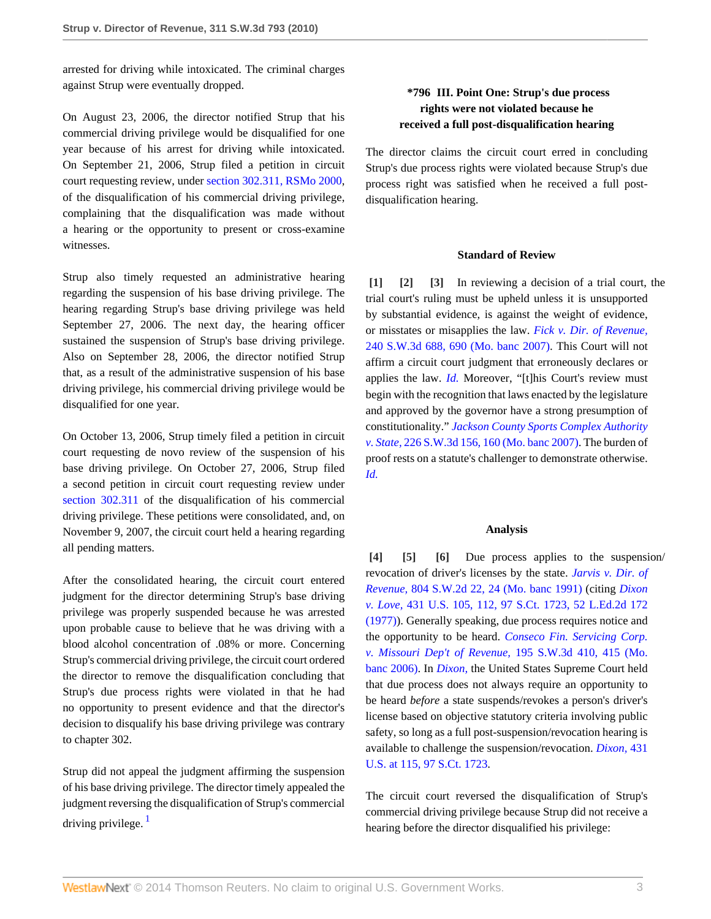arrested for driving while intoxicated. The criminal charges against Strup were eventually dropped.

On August 23, 2006, the director notified Strup that his commercial driving privilege would be disqualified for one year because of his arrest for driving while intoxicated. On September 21, 2006, Strup filed a petition in circuit court requesting review, under [section 302.311, RSMo 2000,](http://www.westlaw.com/Link/Document/FullText?findType=L&pubNum=1000229&cite=MOST302.311&originatingDoc=I0b43d99551e911dfa7ada84b8dc24cbf&refType=LQ&originationContext=document&vr=3.0&rs=cblt1.0&transitionType=DocumentItem&contextData=(sc.Search)) of the disqualification of his commercial driving privilege, complaining that the disqualification was made without a hearing or the opportunity to present or cross-examine witnesses.

Strup also timely requested an administrative hearing regarding the suspension of his base driving privilege. The hearing regarding Strup's base driving privilege was held September 27, 2006. The next day, the hearing officer sustained the suspension of Strup's base driving privilege. Also on September 28, 2006, the director notified Strup that, as a result of the administrative suspension of his base driving privilege, his commercial driving privilege would be disqualified for one year.

On October 13, 2006, Strup timely filed a petition in circuit court requesting de novo review of the suspension of his base driving privilege. On October 27, 2006, Strup filed a second petition in circuit court requesting review under [section 302.311](http://www.westlaw.com/Link/Document/FullText?findType=L&pubNum=1000229&cite=MOST302.311&originatingDoc=I0b43d99551e911dfa7ada84b8dc24cbf&refType=LQ&originationContext=document&vr=3.0&rs=cblt1.0&transitionType=DocumentItem&contextData=(sc.Search)) of the disqualification of his commercial driving privilege. These petitions were consolidated, and, on November 9, 2007, the circuit court held a hearing regarding all pending matters.

After the consolidated hearing, the circuit court entered judgment for the director determining Strup's base driving privilege was properly suspended because he was arrested upon probable cause to believe that he was driving with a blood alcohol concentration of .08% or more. Concerning Strup's commercial driving privilege, the circuit court ordered the director to remove the disqualification concluding that Strup's due process rights were violated in that he had no opportunity to present evidence and that the director's decision to disqualify his base driving privilege was contrary to chapter 302.

<span id="page-2-6"></span>Strup did not appeal the judgment affirming the suspension of his base driving privilege. The director timely appealed the judgment reversing the disqualification of Strup's commercial driving privilege.  $<sup>1</sup>$  $<sup>1</sup>$  $<sup>1</sup>$ </sup>

# **\*796 III. Point One: Strup's due process rights were not violated because he received a full post-disqualification hearing**

The director claims the circuit court erred in concluding Strup's due process rights were violated because Strup's due process right was satisfied when he received a full postdisqualification hearing.

# <span id="page-2-2"></span><span id="page-2-1"></span>**Standard of Review**

<span id="page-2-0"></span>**[\[1\]](#page-0-1) [\[2\]](#page-0-2) [\[3\]](#page-0-3)** In reviewing a decision of a trial court, the trial court's ruling must be upheld unless it is unsupported by substantial evidence, is against the weight of evidence, or misstates or misapplies the law. *[Fick v. Dir. of Revenue,](http://www.westlaw.com/Link/Document/FullText?findType=Y&serNum=2014387174&pubNum=4644&fi=co_pp_sp_4644_690&originationContext=document&vr=3.0&rs=cblt1.0&transitionType=DocumentItem&contextData=(sc.Search)#co_pp_sp_4644_690)* [240 S.W.3d 688, 690 \(Mo. banc 2007\).](http://www.westlaw.com/Link/Document/FullText?findType=Y&serNum=2014387174&pubNum=4644&fi=co_pp_sp_4644_690&originationContext=document&vr=3.0&rs=cblt1.0&transitionType=DocumentItem&contextData=(sc.Search)#co_pp_sp_4644_690) This Court will not affirm a circuit court judgment that erroneously declares or applies the law. *[Id.](http://www.westlaw.com/Link/Document/FullText?findType=Y&serNum=2014387174&originationContext=document&vr=3.0&rs=cblt1.0&transitionType=DocumentItem&contextData=(sc.Search))* Moreover, "[t]his Court's review must begin with the recognition that laws enacted by the legislature and approved by the governor have a strong presumption of constitutionality." *[Jackson County Sports Complex Authority](http://www.westlaw.com/Link/Document/FullText?findType=Y&serNum=2012546090&pubNum=4644&fi=co_pp_sp_4644_160&originationContext=document&vr=3.0&rs=cblt1.0&transitionType=DocumentItem&contextData=(sc.Search)#co_pp_sp_4644_160) v. State,* [226 S.W.3d 156, 160 \(Mo. banc 2007\)](http://www.westlaw.com/Link/Document/FullText?findType=Y&serNum=2012546090&pubNum=4644&fi=co_pp_sp_4644_160&originationContext=document&vr=3.0&rs=cblt1.0&transitionType=DocumentItem&contextData=(sc.Search)#co_pp_sp_4644_160). The burden of proof rests on a statute's challenger to demonstrate otherwise. *[Id.](http://www.westlaw.com/Link/Document/FullText?findType=Y&serNum=2012546090&originationContext=document&vr=3.0&rs=cblt1.0&transitionType=DocumentItem&contextData=(sc.Search))*

## <span id="page-2-5"></span>**Analysis**

<span id="page-2-4"></span><span id="page-2-3"></span>**[\[4\]](#page-0-4) [\[5](#page-0-5)] [\[6\]](#page-0-0)** Due process applies to the suspension/ revocation of driver's licenses by the state. *[Jarvis v. Dir. of](http://www.westlaw.com/Link/Document/FullText?findType=Y&serNum=1991048965&pubNum=713&fi=co_pp_sp_713_24&originationContext=document&vr=3.0&rs=cblt1.0&transitionType=DocumentItem&contextData=(sc.Search)#co_pp_sp_713_24) Revenue,* [804 S.W.2d 22, 24 \(Mo. banc 1991\)](http://www.westlaw.com/Link/Document/FullText?findType=Y&serNum=1991048965&pubNum=713&fi=co_pp_sp_713_24&originationContext=document&vr=3.0&rs=cblt1.0&transitionType=DocumentItem&contextData=(sc.Search)#co_pp_sp_713_24) (citing *[Dixon](http://www.westlaw.com/Link/Document/FullText?findType=Y&serNum=1977118775&pubNum=708&originationContext=document&vr=3.0&rs=cblt1.0&transitionType=DocumentItem&contextData=(sc.Search)) v. Love,* [431 U.S. 105, 112, 97 S.Ct. 1723, 52 L.Ed.2d 172](http://www.westlaw.com/Link/Document/FullText?findType=Y&serNum=1977118775&pubNum=708&originationContext=document&vr=3.0&rs=cblt1.0&transitionType=DocumentItem&contextData=(sc.Search)) [\(1977\)\)](http://www.westlaw.com/Link/Document/FullText?findType=Y&serNum=1977118775&pubNum=708&originationContext=document&vr=3.0&rs=cblt1.0&transitionType=DocumentItem&contextData=(sc.Search)). Generally speaking, due process requires notice and the opportunity to be heard. *[Conseco Fin. Servicing Corp.](http://www.westlaw.com/Link/Document/FullText?findType=Y&serNum=2009341691&pubNum=4644&fi=co_pp_sp_4644_415&originationContext=document&vr=3.0&rs=cblt1.0&transitionType=DocumentItem&contextData=(sc.Search)#co_pp_sp_4644_415) [v. Missouri Dep't of Revenue,](http://www.westlaw.com/Link/Document/FullText?findType=Y&serNum=2009341691&pubNum=4644&fi=co_pp_sp_4644_415&originationContext=document&vr=3.0&rs=cblt1.0&transitionType=DocumentItem&contextData=(sc.Search)#co_pp_sp_4644_415)* 195 S.W.3d 410, 415 (Mo. [banc 2006\).](http://www.westlaw.com/Link/Document/FullText?findType=Y&serNum=2009341691&pubNum=4644&fi=co_pp_sp_4644_415&originationContext=document&vr=3.0&rs=cblt1.0&transitionType=DocumentItem&contextData=(sc.Search)#co_pp_sp_4644_415) In *[Dixon,](http://www.westlaw.com/Link/Document/FullText?findType=Y&serNum=1977118775&originationContext=document&vr=3.0&rs=cblt1.0&transitionType=DocumentItem&contextData=(sc.Search))* the United States Supreme Court held that due process does not always require an opportunity to be heard *before* a state suspends/revokes a person's driver's license based on objective statutory criteria involving public safety, so long as a full post-suspension/revocation hearing is available to challenge the suspension/revocation. *[Dixon,](http://www.westlaw.com/Link/Document/FullText?findType=Y&serNum=1977118775&pubNum=708&originationContext=document&vr=3.0&rs=cblt1.0&transitionType=DocumentItem&contextData=(sc.Search))* 431 [U.S. at 115, 97 S.Ct. 1723](http://www.westlaw.com/Link/Document/FullText?findType=Y&serNum=1977118775&pubNum=708&originationContext=document&vr=3.0&rs=cblt1.0&transitionType=DocumentItem&contextData=(sc.Search)).

The circuit court reversed the disqualification of Strup's commercial driving privilege because Strup did not receive a hearing before the director disqualified his privilege: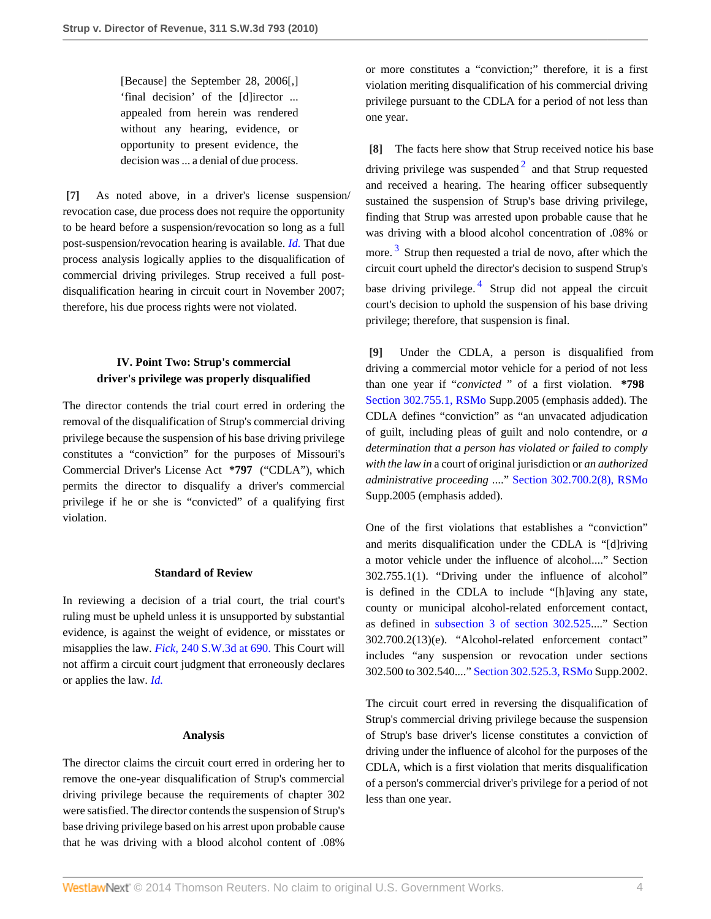[Because] the September 28, 2006[,] 'final decision' of the [d]irector ... appealed from herein was rendered without any hearing, evidence, or opportunity to present evidence, the decision was ... a denial of due process.

<span id="page-3-0"></span>**[\[7\]](#page-1-1)** As noted above, in a driver's license suspension/ revocation case, due process does not require the opportunity to be heard before a suspension/revocation so long as a full post-suspension/revocation hearing is available. *[Id.](http://www.westlaw.com/Link/Document/FullText?findType=Y&serNum=1977118775&originationContext=document&vr=3.0&rs=cblt1.0&transitionType=DocumentItem&contextData=(sc.Search))* That due process analysis logically applies to the disqualification of commercial driving privileges. Strup received a full postdisqualification hearing in circuit court in November 2007; therefore, his due process rights were not violated.

# **IV. Point Two: Strup's commercial driver's privilege was properly disqualified**

The director contends the trial court erred in ordering the removal of the disqualification of Strup's commercial driving privilege because the suspension of his base driving privilege constitutes a "conviction" for the purposes of Missouri's Commercial Driver's License Act **\*797** ("CDLA"), which permits the director to disqualify a driver's commercial privilege if he or she is "convicted" of a qualifying first violation.

# **Standard of Review**

In reviewing a decision of a trial court, the trial court's ruling must be upheld unless it is unsupported by substantial evidence, is against the weight of evidence, or misstates or misapplies the law. *Fick,* [240 S.W.3d at 690.](http://www.westlaw.com/Link/Document/FullText?findType=Y&serNum=2014387174&pubNum=4644&fi=co_pp_sp_4644_690&originationContext=document&vr=3.0&rs=cblt1.0&transitionType=DocumentItem&contextData=(sc.Search)#co_pp_sp_4644_690) This Court will not affirm a circuit court judgment that erroneously declares or applies the law. *[Id.](http://www.westlaw.com/Link/Document/FullText?findType=Y&serNum=2014387174&originationContext=document&vr=3.0&rs=cblt1.0&transitionType=DocumentItem&contextData=(sc.Search))*

## **Analysis**

The director claims the circuit court erred in ordering her to remove the one-year disqualification of Strup's commercial driving privilege because the requirements of chapter 302 were satisfied. The director contends the suspension of Strup's base driving privilege based on his arrest upon probable cause that he was driving with a blood alcohol content of .08%

or more constitutes a "conviction;" therefore, it is a first violation meriting disqualification of his commercial driving privilege pursuant to the CDLA for a period of not less than one year.

<span id="page-3-4"></span><span id="page-3-3"></span><span id="page-3-1"></span>**[\[8\]](#page-1-2)** The facts here show that Strup received notice his base driving privilege was suspended  $2$  and that Strup requested and received a hearing. The hearing officer subsequently sustained the suspension of Strup's base driving privilege, finding that Strup was arrested upon probable cause that he was driving with a blood alcohol concentration of .08% or more.<sup>[3](#page-4-2)</sup> Strup then requested a trial de novo, after which the circuit court upheld the director's decision to suspend Strup's base driving privilege.<sup>[4](#page-4-3)</sup> Strup did not appeal the circuit court's decision to uphold the suspension of his base driving privilege; therefore, that suspension is final.

<span id="page-3-5"></span><span id="page-3-2"></span>**[\[9\]](#page-1-0)** Under the CDLA, a person is disqualified from driving a commercial motor vehicle for a period of not less than one year if "*convicted* " of a first violation. **\*798** [Section 302.755.1, RSMo](http://www.westlaw.com/Link/Document/FullText?findType=L&pubNum=1000229&cite=MOST302.755&originatingDoc=I0b43d99551e911dfa7ada84b8dc24cbf&refType=LQ&originationContext=document&vr=3.0&rs=cblt1.0&transitionType=DocumentItem&contextData=(sc.Search)) Supp.2005 (emphasis added). The CDLA defines "conviction" as "an unvacated adjudication of guilt, including pleas of guilt and nolo contendre, or *a determination that a person has violated or failed to comply with the law in* a court of original jurisdiction or *an authorized administrative proceeding* ...." [Section 302.700.2\(8\), RSMo](http://www.westlaw.com/Link/Document/FullText?findType=L&pubNum=1000229&cite=MOST302.700&originatingDoc=I0b43d99551e911dfa7ada84b8dc24cbf&refType=LQ&originationContext=document&vr=3.0&rs=cblt1.0&transitionType=DocumentItem&contextData=(sc.Search)) Supp.2005 (emphasis added).

One of the first violations that establishes a "conviction" and merits disqualification under the CDLA is "[d]riving a motor vehicle under the influence of alcohol...." Section 302.755.1(1). "Driving under the influence of alcohol" is defined in the CDLA to include "[h]aving any state, county or municipal alcohol-related enforcement contact, as defined in [subsection 3 of section 302.525](http://www.westlaw.com/Link/Document/FullText?findType=L&pubNum=1000229&cite=MOST302.525&originatingDoc=I0b43d99551e911dfa7ada84b8dc24cbf&refType=SP&originationContext=document&vr=3.0&rs=cblt1.0&transitionType=DocumentItem&contextData=(sc.Search)#co_pp_236f00000e5f2)...." Section 302.700.2(13)(e). "Alcohol-related enforcement contact" includes "any suspension or revocation under sections 302.500 to 302.540...." [Section 302.525.3, RSMo](http://www.westlaw.com/Link/Document/FullText?findType=L&pubNum=1000229&cite=MOST302.525&originatingDoc=I0b43d99551e911dfa7ada84b8dc24cbf&refType=LQ&originationContext=document&vr=3.0&rs=cblt1.0&transitionType=DocumentItem&contextData=(sc.Search)) Supp.2002.

The circuit court erred in reversing the disqualification of Strup's commercial driving privilege because the suspension of Strup's base driver's license constitutes a conviction of driving under the influence of alcohol for the purposes of the CDLA, which is a first violation that merits disqualification of a person's commercial driver's privilege for a period of not less than one year.